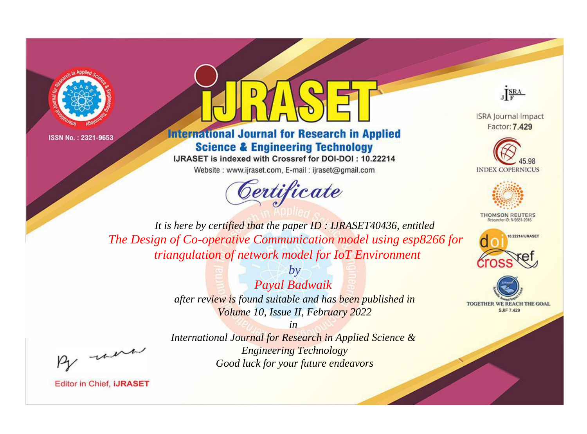



**International Journal for Research in Applied Science & Engineering Technology** 

IJRASET is indexed with Crossref for DOI-DOI: 10.22214

Website: www.ijraset.com, E-mail: ijraset@gmail.com



JERA

**ISRA Journal Impact** Factor: 7.429





**THOMSON REUTERS** 



TOGETHER WE REACH THE GOAL **SJIF 7.429** 

It is here by certified that the paper ID: IJRASET40436, entitled The Design of Co-operative Communication model using esp8266 for triangulation of network model for IoT Environment

> $b\nu$ Payal Badwaik after review is found suitable and has been published in Volume 10, Issue II, February 2022

> > $in$

International Journal for Research in Applied Science & **Engineering Technology** Good luck for your future endeavors

were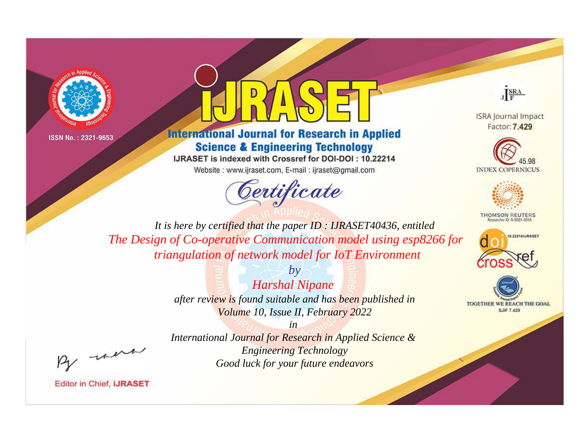



**International Journal for Research in Applied Science & Engineering Technology** 

IJRASET is indexed with Crossref for DOI-DOI: 10.22214

Website: www.ijraset.com, E-mail: ijraset@gmail.com





**ISRA Journal Impact** Factor: 7.429





**THOMSON REUTERS** 



TOGETHER WE REACH THE GOAL **SJIF 7.429** 

*It is here by certified that the paper ID : IJRASET40436, entitled The Design of Co-operative Communication model using esp8266 for triangulation of network model for IoT Environment*

> *by Harshal Nipane after review is found suitable and has been published in Volume 10, Issue II, February 2022*

, un

*International Journal for Research in Applied Science & Engineering Technology Good luck for your future endeavors*

*in*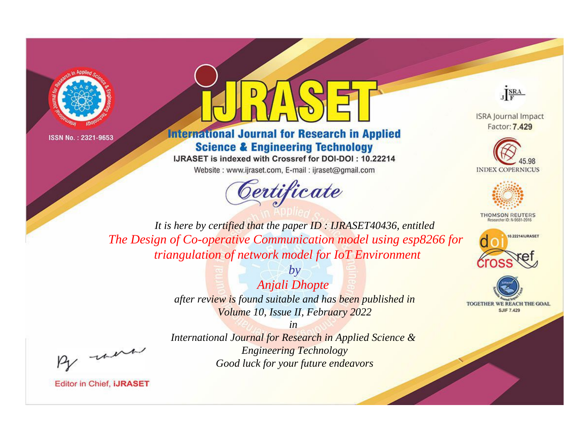



**International Journal for Research in Applied Science & Engineering Technology** 

IJRASET is indexed with Crossref for DOI-DOI: 10.22214

Website: www.ijraset.com, E-mail: ijraset@gmail.com



JERA

**ISRA Journal Impact** Factor: 7.429





**THOMSON REUTERS** 



TOGETHER WE REACH THE GOAL **SJIF 7.429** 

It is here by certified that the paper ID: IJRASET40436, entitled The Design of Co-operative Communication model using esp8266 for triangulation of network model for IoT Environment

> $by$ **Anjali Dhopte** after review is found suitable and has been published in Volume 10, Issue II, February 2022

were

International Journal for Research in Applied Science & **Engineering Technology** Good luck for your future endeavors

 $in$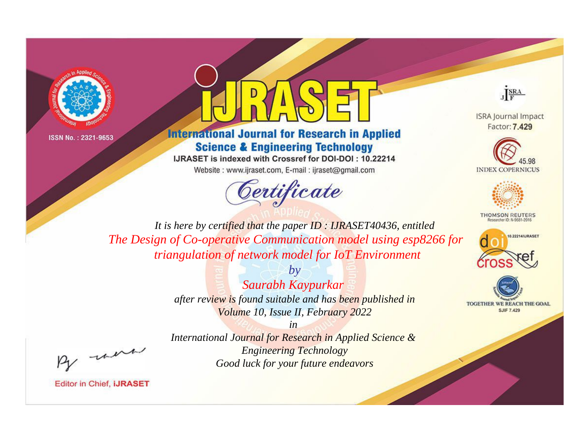



**International Journal for Research in Applied Science & Engineering Technology** 

IJRASET is indexed with Crossref for DOI-DOI: 10.22214 Website: www.ijraset.com, E-mail: ijraset@gmail.com



JERA

**ISRA Journal Impact** Factor: 7.429





**THOMSON REUTERS** 



TOGETHER WE REACH THE GOAL **SJIF 7.429** 

*It is here by certified that the paper ID : IJRASET40436, entitled The Design of Co-operative Communication model using esp8266 for triangulation of network model for IoT Environment*

> *by Saurabh Kaypurkar after review is found suitable and has been published in Volume 10, Issue II, February 2022*

, un

*International Journal for Research in Applied Science & Engineering Technology Good luck for your future endeavors*

*in*